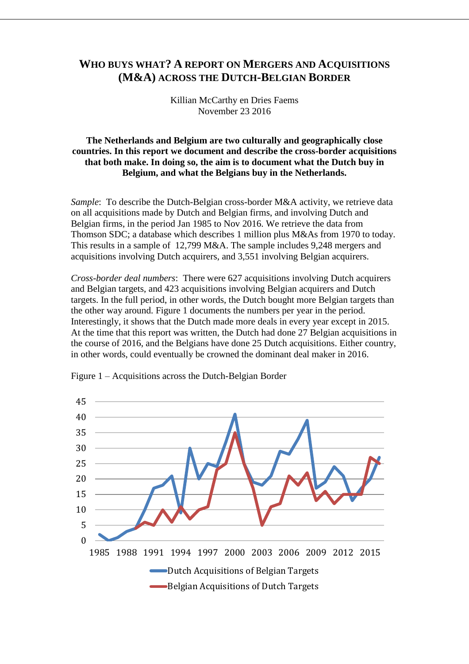## **WHO BUYS WHAT? A REPORT ON MERGERS AND ACQUISITIONS (M&A) ACROSS THE DUTCH-BELGIAN BORDER**

Killian McCarthy en Dries Faems November 23 2016

## **The Netherlands and Belgium are two culturally and geographically close countries. In this report we document and describe the cross-border acquisitions that both make. In doing so, the aim is to document what the Dutch buy in Belgium, and what the Belgians buy in the Netherlands.**

*Sample*: To describe the Dutch-Belgian cross-border M&A activity, we retrieve data on all acquisitions made by Dutch and Belgian firms, and involving Dutch and Belgian firms, in the period Jan 1985 to Nov 2016. We retrieve the data from Thomson SDC; a database which describes 1 million plus M&As from 1970 to today. This results in a sample of 12,799 M&A. The sample includes 9,248 mergers and acquisitions involving Dutch acquirers, and 3,551 involving Belgian acquirers.

*Cross-border deal numbers*: There were 627 acquisitions involving Dutch acquirers and Belgian targets, and 423 acquisitions involving Belgian acquirers and Dutch targets. In the full period, in other words, the Dutch bought more Belgian targets than the other way around. Figure 1 documents the numbers per year in the period. Interestingly, it shows that the Dutch made more deals in every year except in 2015. At the time that this report was written, the Dutch had done 27 Belgian acquisitions in the course of 2016, and the Belgians have done 25 Dutch acquisitions. Either country, in other words, could eventually be crowned the dominant deal maker in 2016.



Figure 1 – Acquisitions across the Dutch-Belgian Border